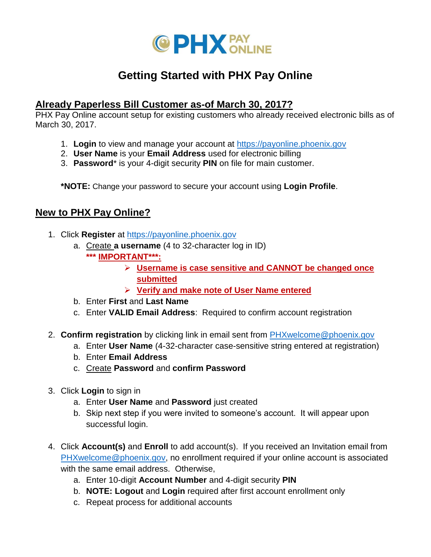

# **Getting Started with PHX Pay Online**

#### **Already Paperless Bill Customer as-of March 30, 2017?**

PHX Pay Online account setup for existing customers who already received electronic bills as of March 30, 2017.

- 1. **Login** to view and manage your account at [https://payonline.phoenix.gov](https://payonline.phoenix.gov/)
- 2. **User Name** is your **Email Address** used for electronic billing
- 3. **Password**\* is your 4-digit security **PIN** on file for main customer.

**\*NOTE:** Change your password to secure your account using **Login Profile**.

### **New to PHX Pay Online?**

- 1. Click **Register** at [https://payonline.phoenix.gov](https://payonline.phoenix.gov/)
	- a. Create **a username** (4 to 32-character log in ID)
		- **\*\*\* IMPORTANT\*\*\*:** 
			- **Username is case sensitive and CANNOT be changed once submitted**
			- **Verify and make note of User Name entered**
	- b. Enter **First** and **Last Name**
	- c. Enter **VALID Email Address**: Required to confirm account registration
- 2. **Confirm registration** by clicking link in email sent from [PHXwelcome@phoenix.gov](mailto:PHXwelcome@phoenix.gov)
	- a. Enter **User Name** (4-32-character case-sensitive string entered at registration)
	- b. Enter **Email Address**
	- c. Create **Password** and **confirm Password**
- 3. Click **Login** to sign in
	- a. Enter **User Name** and **Password** just created
	- b. Skip next step if you were invited to someone's account. It will appear upon successful login.
- 4. Click **Account(s)** and **Enroll** to add account(s). If you received an Invitation email from [PHXwelcome@phoenix.gov,](mailto:PHXwelcome@phoenix.gov) no enrollment required if your online account is associated with the same email address. Otherwise,
	- a. Enter 10-digit **Account Number** and 4-digit security **PIN**
	- b. **NOTE: Logout** and **Login** required after first account enrollment only
	- c. Repeat process for additional accounts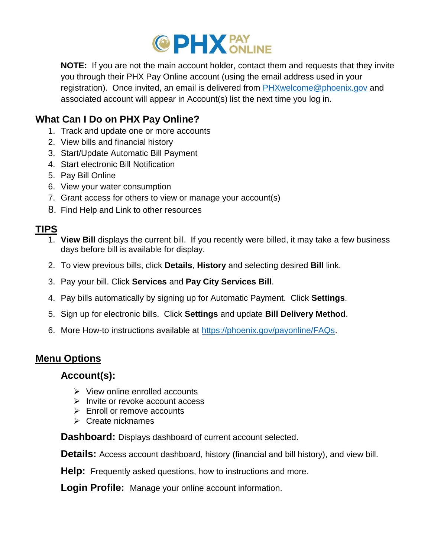

**NOTE:** If you are not the main account holder, contact them and requests that they invite you through their PHX Pay Online account (using the email address used in your registration). Once invited, an email is delivered from [PHXwelcome@phoenix.gov](mailto:PHXwelcome@phoenix.gov) and associated account will appear in Account(s) list the next time you log in.

### **What Can I Do on PHX Pay Online?**

- 1. Track and update one or more accounts
- 2. View bills and financial history
- 3. Start/Update Automatic Bill Payment
- 4. Start electronic Bill Notification
- 5. Pay Bill Online
- 6. View your water consumption
- 7. Grant access for others to view or manage your account(s)
- 8. Find Help and Link to other resources

## **TIPS**

- 1. **View Bill** displays the current bill. If you recently were billed, it may take a few business days before bill is available for display.
- 2. To view previous bills, click **Details**, **History** and selecting desired **Bill** link.
- 3. Pay your bill. Click **Services** and **Pay City Services Bill**.
- 4. Pay bills automatically by signing up for Automatic Payment. Click **Settings**.
- 5. Sign up for electronic bills. Click **Settings** and update **Bill Delivery Method**.
- 6. More How-to instructions available at [https://phoenix.gov/payonline/FAQs.](https://phoenix.gov/payonline/FAQs)

### **Menu Options**

### **Account(s):**

- $\triangleright$  View online enrolled accounts
- $\triangleright$  Invite or revoke account access
- $\triangleright$  Enroll or remove accounts
- $\triangleright$  Create nicknames

**Dashboard:** Displays dashboard of current account selected.

**Details:** Access account dashboard, history (financial and bill history), and view bill.

**Help:** Frequently asked questions, how to instructions and more.

**Login Profile:** Manage your online account information.